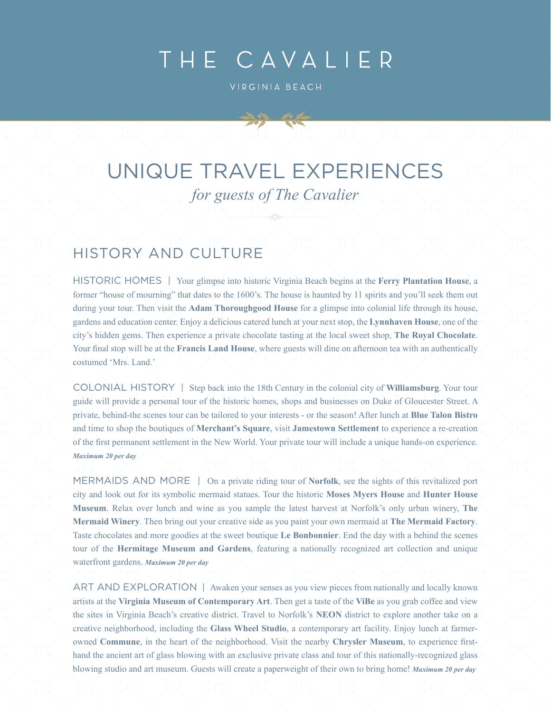# THE CAVALIER

VIRGINIA BEACH

## UNIQUE TRAVEL EXPERIENCES *for guests of The Cavalier*

#### HISTORY AND CULTURE

HISTORIC HOMES | Your glimpse into historic Virginia Beach begins at the **Ferry Plantation House**, a former "house of mourning" that dates to the 1600's. The house is haunted by 11 spirits and you'll seek them out during your tour. Then visit the **Adam Thoroughgood House** for a glimpse into colonial life through its house, gardens and education center. Enjoy a delicious catered lunch at your next stop, the **Lynnhaven House**, one of the city's hidden gems. Then experience a private chocolate tasting at the local sweet shop, **The Royal Chocolate**. Your final stop will be at the **Francis Land House**, where guests will dine on afternoon tea with an authentically costumed 'Mrs. Land.'

COLONIAL HISTORY | Step back into the 18th Century in the colonial city of **Williamsburg**. Your tour guide will provide a personal tour of the historic homes, shops and businesses on Duke of Gloucester Street. A private, behind-the scenes tour can be tailored to your interests - or the season! After lunch at **Blue Talon Bistro** and time to shop the boutiques of **Merchant's Square**, visit **Jamestown Settlement** to experience a re-creation of the first permanent settlement in the New World. Your private tour will include a unique hands-on experience. *Maximum 20 per day*

MERMAIDS AND MORE | On a private riding tour of **Norfolk**, see the sights of this revitalized port city and look out for its symbolic mermaid statues. Tour the historic **Moses Myers House** and **Hunter House Museum**. Relax over lunch and wine as you sample the latest harvest at Norfolk's only urban winery, **The Mermaid Winery**. Then bring out your creative side as you paint your own mermaid at **The Mermaid Factory**. Taste chocolates and more goodies at the sweet boutique **Le Bonbonnier**. End the day with a behind the scenes tour of the **Hermitage Museum and Gardens**, featuring a nationally recognized art collection and unique waterfront gardens. *Maximum 20 per day*

ART AND EXPLORATION | Awaken your senses as you view pieces from nationally and locally known artists at the **Virginia Museum of Contemporary Art**. Then get a taste of the **ViBe** as you grab coffee and view the sites in Virginia Beach's creative district. Travel to Norfolk's **NEON** district to explore another take on a creative neighborhood, including the **Glass Wheel Studio**, a contemporary art facility. Enjoy lunch at farmerowned **Commune**, in the heart of the neighborhood. Visit the nearby **Chrysler Museum**, to experience firsthand the ancient art of glass blowing with an exclusive private class and tour of this nationally-recognized glass blowing studio and art museum. Guests will create a paperweight of their own to bring home! *Maximum 20 per day*